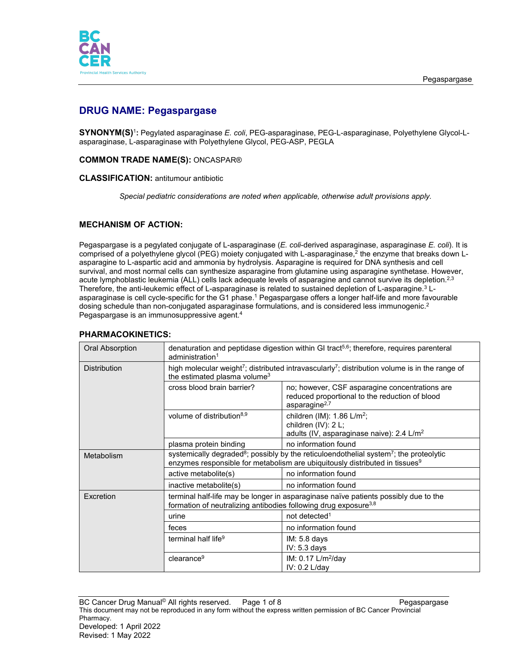

# **DRUG NAME: Pegaspargase**

**SYNONYM(S)**<sup>1</sup>**:** Pegylated asparaginase *E. coli*, PEG-asparaginase, PEG-L-asparaginase, Polyethylene Glycol-Lasparaginase, L-asparaginase with Polyethylene Glycol, PEG-ASP, PEGLA

### **COMMON TRADE NAME(S):** ONCASPAR®

### **CLASSIFICATION:** antitumour antibiotic

*Special pediatric considerations are noted when applicable, otherwise adult provisions apply.*

# **MECHANISM OF ACTION:**

Pegaspargase is a pegylated conjugate of L-asparaginase (*E. coli*-derived asparaginase, asparaginase *E. coli*). It is comprised of a polyethylene glycol (PEG) moiety conjugated with L-asparaginase,2 the enzyme that breaks down Lasparagine to L-aspartic acid and ammonia by hydrolysis. Asparagine is required for DNA synthesis and cell survival, and most normal cells can synthesize asparagine from glutamine using asparagine synthetase. However, acute lymphoblastic leukemia (ALL) cells lack adequate levels of asparagine and cannot survive its depletion.<sup>2,3</sup> Therefore, the anti-leukemic effect of L-asparaginase is related to sustained depletion of L-asparagine. <sup>3</sup> Lasparaginase is cell cycle-specific for the G1 phase.<sup>1</sup> Pegaspargase offers a longer half-life and more favourable dosing schedule than non-conjugated asparaginase formulations, and is considered less immunogenic.<sup>2</sup> Pegaspargase is an immunosuppressive agent. 4

| Oral Absorption     | denaturation and peptidase digestion within GI tract <sup>5,6</sup> ; therefore, requires parenteral<br>administration <sup>1</sup>                                                                       |                                                                                                                          |  |
|---------------------|-----------------------------------------------------------------------------------------------------------------------------------------------------------------------------------------------------------|--------------------------------------------------------------------------------------------------------------------------|--|
| <b>Distribution</b> | high molecular weight <sup>7</sup> ; distributed intravascularly <sup>7</sup> ; distribution volume is in the range of<br>the estimated plasma volume <sup>3</sup>                                        |                                                                                                                          |  |
|                     | cross blood brain barrier?                                                                                                                                                                                | no; however, CSF asparagine concentrations are<br>reduced proportional to the reduction of blood<br>asparagine $2,7$     |  |
|                     | volume of distribution <sup>8,9</sup>                                                                                                                                                                     | children (IM): $1.86$ L/m <sup>2</sup> ;<br>children (IV): 2 L;<br>adults (IV, asparaginase naive): 2.4 L/m <sup>2</sup> |  |
|                     | plasma protein binding                                                                                                                                                                                    | no information found                                                                                                     |  |
| Metabolism          | systemically degraded <sup>8</sup> ; possibly by the reticuloendothelial system <sup>7</sup> ; the proteolytic<br>enzymes responsible for metabolism are ubiquitously distributed in tissues <sup>9</sup> |                                                                                                                          |  |
|                     | active metabolite(s)                                                                                                                                                                                      | no information found                                                                                                     |  |
|                     | inactive metabolite(s)                                                                                                                                                                                    | no information found                                                                                                     |  |
| <b>Fxcretion</b>    | terminal half-life may be longer in asparaginase naïve patients possibly due to the<br>formation of neutralizing antibodies following drug exposure <sup>3,8</sup>                                        |                                                                                                                          |  |
|                     | urine                                                                                                                                                                                                     | not detected <sup>1</sup>                                                                                                |  |
|                     | feces                                                                                                                                                                                                     | no information found                                                                                                     |  |
|                     | terminal half life <sup>9</sup>                                                                                                                                                                           | IM: 5.8 days<br>$IV: 5.3$ days                                                                                           |  |
|                     | clearance <sup>9</sup>                                                                                                                                                                                    | IM: $0.17$ L/m <sup>2</sup> /day<br>IV: 0.2 L/day                                                                        |  |

## **PHARMACOKINETICS:**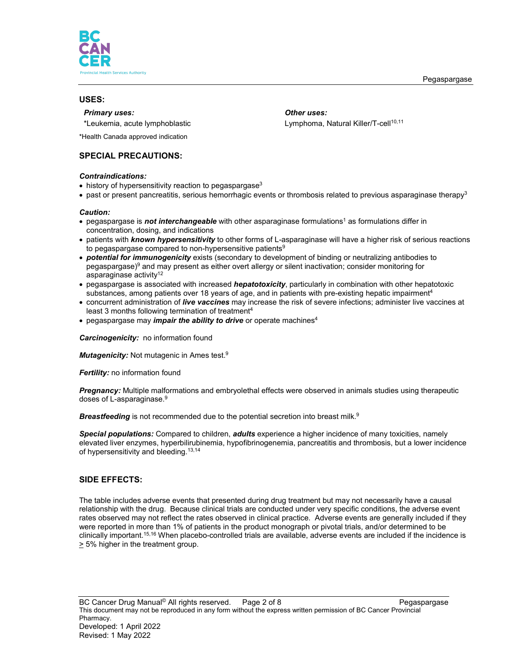

### **USES:**

### *Primary uses: Other uses:*

\*Leukemia, acute lymphoblastic Lymphoma, Natural Killer/T-cell<sup>10,11</sup>

\*Health Canada approved indication

# **SPECIAL PRECAUTIONS:**

### *Contraindications:*

- $\bullet$  history of hypersensitivity reaction to pegaspargase<sup>3</sup>
- past or present pancreatitis, serious hemorrhagic events or thrombosis related to previous asparaginase therapy<sup>3</sup>

#### *Caution:*

- pegaspargase is *not interchangeable* with other asparaginase formulations<sup>1</sup> as formulations differ in concentration, dosing, and indications
- patients with *known hypersensitivity* to other forms of L-asparaginase will have a higher risk of serious reactions to pegaspargase compared to non-hypersensitive patients $9$
- *potential for immunogenicity* exists (secondary to development of binding or neutralizing antibodies to pegaspargase)<sup>9</sup> and may present as either overt allergy or silent inactivation; consider monitoring for asparaginase activity<sup>12</sup>
- pegaspargase is associated with increased *hepatotoxicity*, particularly in combination with other hepatotoxic substances, among patients over 18 years of age, and in patients with pre-existing hepatic impairment<sup>4</sup>
- concurrent administration of *live vaccines* may increase the risk of severe infections; administer live vaccines at least 3 months following termination of treatment4
- pegaspargase may *impair the ability to drive* or operate machines<sup>4</sup>

*Carcinogenicity:* no information found

*Mutagenicity:* Not mutagenic in Ames test.9

**Fertility:** no information found

*Pregnancy:* Multiple malformations and embryolethal effects were observed in animals studies using therapeutic doses of L-asparaginase.<sup>9</sup>

*Breastfeeding* is not recommended due to the potential secretion into breast milk. 9

**Special populations:** Compared to children, **adults** experience a higher incidence of many toxicities, namely elevated liver enzymes, hyperbilirubinemia, hypofibrinogenemia, pancreatitis and thrombosis, but a lower incidence of hypersensitivity and bleeding. 13,14

# **SIDE EFFECTS:**

The table includes adverse events that presented during drug treatment but may not necessarily have a causal relationship with the drug. Because clinical trials are conducted under very specific conditions, the adverse event rates observed may not reflect the rates observed in clinical practice. Adverse events are generally included if they were reported in more than 1% of patients in the product monograph or pivotal trials, and/or determined to be clinically important. 15,16 When placebo-controlled trials are available, adverse events are included if the incidence is  $\geq$  5% higher in the treatment group.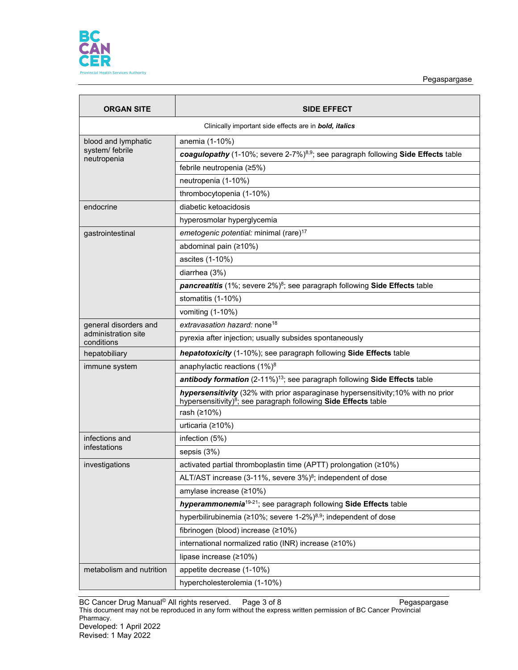

Pegaspargase

| <b>ORGAN SITE</b>                                             | <b>SIDE EFFECT</b>                                                                                                                                              |  |  |
|---------------------------------------------------------------|-----------------------------------------------------------------------------------------------------------------------------------------------------------------|--|--|
| Clinically important side effects are in <b>bold, italics</b> |                                                                                                                                                                 |  |  |
| blood and lymphatic                                           | anemia (1-10%)                                                                                                                                                  |  |  |
| system/ febrile<br>neutropenia                                | coagulopathy (1-10%; severe 2-7%) $8.9$ ; see paragraph following Side Effects table                                                                            |  |  |
|                                                               | febrile neutropenia (≥5%)                                                                                                                                       |  |  |
|                                                               | neutropenia (1-10%)                                                                                                                                             |  |  |
|                                                               | thrombocytopenia (1-10%)                                                                                                                                        |  |  |
| endocrine                                                     | diabetic ketoacidosis                                                                                                                                           |  |  |
|                                                               | hyperosmolar hyperglycemia                                                                                                                                      |  |  |
| gastrointestinal                                              | emetogenic potential: minimal (rare) <sup>17</sup>                                                                                                              |  |  |
|                                                               | abdominal pain (≥10%)                                                                                                                                           |  |  |
|                                                               | ascites (1-10%)                                                                                                                                                 |  |  |
|                                                               | diarrhea (3%)                                                                                                                                                   |  |  |
|                                                               | pancreatitis (1%; severe 2%) <sup>8</sup> ; see paragraph following Side Effects table                                                                          |  |  |
|                                                               | stomatitis (1-10%)                                                                                                                                              |  |  |
|                                                               | vomiting (1-10%)                                                                                                                                                |  |  |
| general disorders and                                         | extravasation hazard: none <sup>18</sup>                                                                                                                        |  |  |
| administration site<br>conditions                             | pyrexia after injection; usually subsides spontaneously                                                                                                         |  |  |
| hepatobiliary                                                 | hepatotoxicity (1-10%); see paragraph following Side Effects table                                                                                              |  |  |
| immune system                                                 | anaphylactic reactions $(1\%)^8$                                                                                                                                |  |  |
|                                                               | antibody formation (2-11%) <sup>13</sup> ; see paragraph following Side Effects table                                                                           |  |  |
|                                                               | hypersensitivity (32% with prior asparaginase hypersensitivity;10% with no prior<br>hypersensitivity) <sup>8</sup> ; see paragraph following Side Effects table |  |  |
|                                                               | rash (≥10%)                                                                                                                                                     |  |  |
|                                                               | urticaria (≥10%)                                                                                                                                                |  |  |
| infections and                                                | infection (5%)                                                                                                                                                  |  |  |
| infestations                                                  | sepsis (3%)                                                                                                                                                     |  |  |
| investigations                                                | activated partial thromboplastin time (APTT) prolongation (≥10%)                                                                                                |  |  |
|                                                               | ALT/AST increase (3-11%, severe 3%) <sup>8</sup> ; independent of dose                                                                                          |  |  |
|                                                               | amylase increase (≥10%)                                                                                                                                         |  |  |
|                                                               | hyperammonemia <sup>19-21</sup> ; see paragraph following Side Effects table                                                                                    |  |  |
|                                                               | hyperbilirubinemia (≥10%; severe 1-2%) <sup>8,9</sup> ; independent of dose                                                                                     |  |  |
|                                                               | fibrinogen (blood) increase (≥10%)                                                                                                                              |  |  |
|                                                               | international normalized ratio (INR) increase (≥10%)                                                                                                            |  |  |
|                                                               | lipase increase (≥10%)                                                                                                                                          |  |  |
| metabolism and nutrition                                      | appetite decrease (1-10%)                                                                                                                                       |  |  |
|                                                               | hypercholesterolemia (1-10%)                                                                                                                                    |  |  |

BC Cancer Drug Manual© All rights reserved. Page 3 of 8 Pegaspargase This document may not be reproduced in any form without the express written permission of BC Cancer Provincial Pharmacy. Developed: 1 April 2022 Revised: 1 May 2022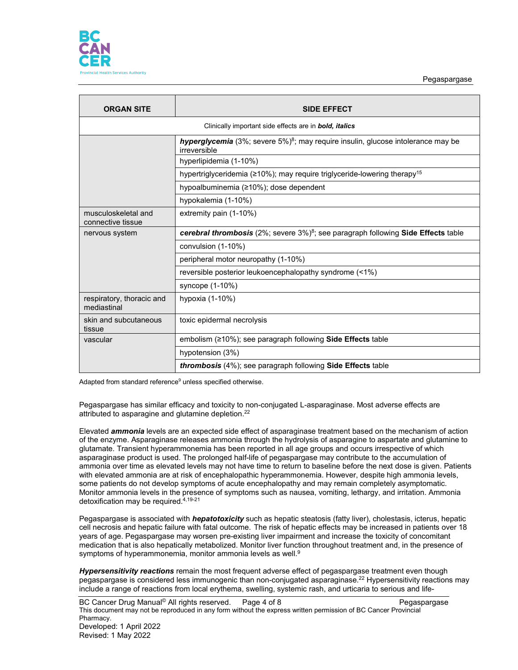

Pegaspargase

| <b>ORGAN SITE</b>                        | <b>SIDE EFFECT</b>                                                                                           |  |  |
|------------------------------------------|--------------------------------------------------------------------------------------------------------------|--|--|
|                                          | Clinically important side effects are in <b>bold</b> , <i>italics</i>                                        |  |  |
|                                          | hyperglycemia (3%; severe 5%) <sup>8</sup> ; may require insulin, glucose intolerance may be<br>irreversible |  |  |
|                                          | hyperlipidemia (1-10%)                                                                                       |  |  |
|                                          | hypertriglyceridemia (≥10%); may require triglyceride-lowering therapy <sup>15</sup>                         |  |  |
|                                          | hypoalbuminemia (≥10%); dose dependent                                                                       |  |  |
|                                          | hypokalemia (1-10%)                                                                                          |  |  |
| musculoskeletal and<br>connective tissue | extremity pain (1-10%)                                                                                       |  |  |
| nervous system                           | cerebral thrombosis $(2\%)$ ; severe $3\%)^8$ ; see paragraph following Side Effects table                   |  |  |
|                                          | convulsion (1-10%)                                                                                           |  |  |
|                                          | peripheral motor neuropathy (1-10%)                                                                          |  |  |
|                                          | reversible posterior leukoencephalopathy syndrome (<1%)                                                      |  |  |
|                                          | syncope (1-10%)                                                                                              |  |  |
| respiratory, thoracic and<br>mediastinal | hypoxia (1-10%)                                                                                              |  |  |
| skin and subcutaneous<br>tissue          | toxic epidermal necrolysis                                                                                   |  |  |
| vascular                                 | embolism (≥10%); see paragraph following Side Effects table                                                  |  |  |
|                                          | hypotension (3%)                                                                                             |  |  |
|                                          | thrombosis (4%); see paragraph following Side Effects table                                                  |  |  |

Adapted from standard reference<sup>9</sup> unless specified otherwise.

Pegaspargase has similar efficacy and toxicity to non-conjugated L-asparaginase. Most adverse effects are attributed to asparagine and glutamine depletion.<sup>22</sup>

Elevated *ammonia* levels are an expected side effect of asparaginase treatment based on the mechanism of action of the enzyme. Asparaginase releases ammonia through the hydrolysis of asparagine to aspartate and glutamine to glutamate. Transient hyperammonemia has been reported in all age groups and occurs irrespective of which asparaginase product is used. The prolonged half-life of pegaspargase may contribute to the accumulation of ammonia over time as elevated levels may not have time to return to baseline before the next dose is given. Patients with elevated ammonia are at risk of encephalopathic hyperammonemia. However, despite high ammonia levels, some patients do not develop symptoms of acute encephalopathy and may remain completely asymptomatic. Monitor ammonia levels in the presence of symptoms such as nausea, vomiting, lethargy, and irritation. Ammonia detoxification may be required.4,19-21

Pegaspargase is associated with *hepatotoxicity* such as hepatic steatosis (fatty liver), cholestasis, icterus, hepatic cell necrosis and hepatic failure with fatal outcome. The risk of hepatic effects may be increased in patients over 18 years of age. Pegaspargase may worsen pre-existing liver impairment and increase the toxicity of concomitant medication that is also hepatically metabolized. Monitor liver function throughout treatment and, in the presence of symptoms of hyperammonemia, monitor ammonia levels as well.<sup>9</sup>

*Hypersensitivity reactions* remain the most frequent adverse effect of pegaspargase treatment even though pegaspargase is considered less immunogenic than non-conjugated asparaginase.22 Hypersensitivity reactions may include a range of reactions from local erythema, swelling, systemic rash, and urticaria to serious and life-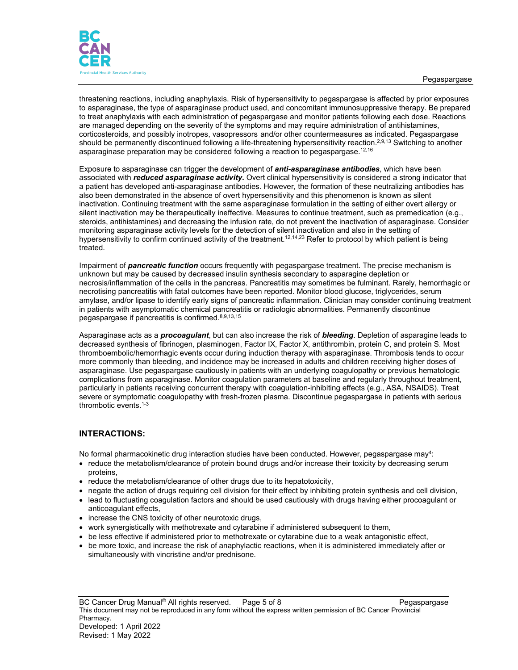

threatening reactions, including anaphylaxis. Risk of hypersensitivity to pegaspargase is affected by prior exposures to asparaginase, the type of asparaginase product used, and concomitant immunosuppressive therapy. Be prepared to treat anaphylaxis with each administration of pegaspargase and monitor patients following each dose. Reactions are managed depending on the severity of the symptoms and may require administration of antihistamines, corticosteroids, and possibly inotropes, vasopressors and/or other countermeasures as indicated. Pegaspargase should be permanently discontinued following a life-threatening hypersensitivity reaction.<sup>2,9,13</sup> Switching to another asparaginase preparation may be considered following a reaction to pegaspargase.<sup>12,16</sup>

Exposure to asparaginase can trigger the development of *anti-asparaginase antibodies*, which have been *a*ssociated with *reduced asparaginase activity.* Overt clinical hypersensitivity is considered a strong indicator that a patient has developed anti-asparaginase antibodies. However, the formation of these neutralizing antibodies has also been demonstrated in the absence of overt hypersensitivity and this phenomenon is known as silent inactivation. Continuing treatment with the same asparaginase formulation in the setting of either overt allergy or silent inactivation may be therapeutically ineffective. Measures to continue treatment, such as premedication (e.g., steroids, antihistamines) and decreasing the infusion rate, do not prevent the inactivation of asparaginase. Consider monitoring asparaginase activity levels for the detection of silent inactivation and also in the setting of hypersensitivity to confirm continued activity of the treatment.<sup>12,14,23</sup> Refer to protocol by which patient is being treated.

Impairment of *pancreatic function* occurs frequently with pegaspargase treatment. The precise mechanism is unknown but may be caused by decreased insulin synthesis secondary to asparagine depletion or necrosis/inflammation of the cells in the pancreas. Pancreatitis may sometimes be fulminant. Rarely, hemorrhagic or necrotising pancreatitis with fatal outcomes have been reported. Monitor blood glucose, triglycerides, serum amylase, and/or lipase to identify early signs of pancreatic inflammation. Clinician may consider continuing treatment in patients with asymptomatic chemical pancreatitis or radiologic abnormalities. Permanently discontinue pegaspargase if pancreatitis is confirmed.8,9,13,15

Asparaginase acts as a *procoagulant*, but can also increase the risk of *bleeding*. Depletion of asparagine leads to decreased synthesis of fibrinogen, plasminogen, Factor IX, Factor X, antithrombin, protein C, and protein S. Most thromboembolic/hemorrhagic events occur during induction therapy with asparaginase. Thrombosis tends to occur more commonly than bleeding, and incidence may be increased in adults and children receiving higher doses of asparaginase. Use pegaspargase cautiously in patients with an underlying coagulopathy or previous hematologic complications from asparaginase. Monitor coagulation parameters at baseline and regularly throughout treatment, particularly in patients receiving concurrent therapy with coagulation-inhibiting effects (e.g., ASA, NSAIDS). Treat severe or symptomatic coagulopathy with fresh-frozen plasma. Discontinue pegaspargase in patients with serious thrombotic events.1-3

# **INTERACTIONS:**

No formal pharmacokinetic drug interaction studies have been conducted. However, pegaspargase may<sup>4</sup>:

- reduce the metabolism/clearance of protein bound drugs and/or increase their toxicity by decreasing serum proteins,
- reduce the metabolism/clearance of other drugs due to its hepatotoxicity,
- negate the action of drugs requiring cell division for their effect by inhibiting protein synthesis and cell division,
- lead to fluctuating coagulation factors and should be used cautiously with drugs having either procoagulant or anticoagulant effects,
- increase the CNS toxicity of other neurotoxic drugs,
- work synergistically with methotrexate and cytarabine if administered subsequent to them,
- be less effective if administered prior to methotrexate or cytarabine due to a weak antagonistic effect,
- be more toxic, and increase the risk of anaphylactic reactions, when it is administered immediately after or simultaneously with vincristine and/or prednisone.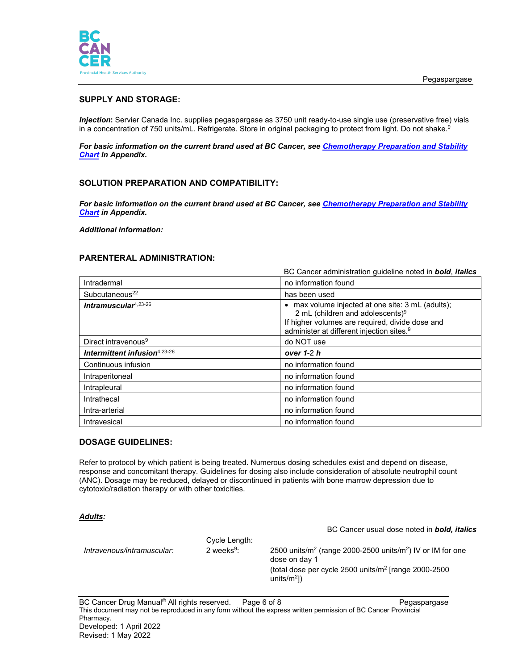

# **SUPPLY AND STORAGE:**

*Injection***:** Servier Canada Inc. supplies pegaspargase as 3750 unit ready-to-use single use (preservative free) vials in a concentration of 750 units/mL. Refrigerate. Store in original packaging to protect from light. Do not shake.<sup>9</sup>

*For basic information on the current brand used at BC Cancer, see [Chemotherapy Preparation and Stability](http://www.bccancer.bc.ca/HPI/DrugDatabase/Appendices/default.htm#chemochart)  [Chart](http://www.bccancer.bc.ca/HPI/DrugDatabase/Appendices/default.htm#chemochart) in Appendix.*

### **SOLUTION PREPARATION AND COMPATIBILITY:**

*For basic information on the current brand used at BC Cancer, see [Chemotherapy Preparation and Stability](http://www.bccancer.bc.ca/HPI/DrugDatabase/Appendices/default.htm#chemochart)  [Chart](http://www.bccancer.bc.ca/HPI/DrugDatabase/Appendices/default.htm#chemochart) in Appendix.*

*Additional information:*

### **PARENTERAL ADMINISTRATION:**

|                                 | BC Cancer administration guideline noted in <b>bold</b> , <i>italics</i>                                                                                                                                    |
|---------------------------------|-------------------------------------------------------------------------------------------------------------------------------------------------------------------------------------------------------------|
| Intradermal                     | no information found                                                                                                                                                                                        |
| Subcutaneous <sup>22</sup>      | has been used                                                                                                                                                                                               |
| Intramuscular $4,23-26$         | max volume injected at one site: 3 mL (adults);<br>2 mL (children and adolescents) <sup>9</sup><br>If higher volumes are required, divide dose and<br>administer at different injection sites. <sup>9</sup> |
| Direct intravenous <sup>9</sup> | do NOT use                                                                                                                                                                                                  |
|                                 |                                                                                                                                                                                                             |
| Intermittent infusion4,23-26    | over $1-2 h$                                                                                                                                                                                                |
| Continuous infusion             | no information found                                                                                                                                                                                        |
| Intraperitoneal                 | no information found                                                                                                                                                                                        |
| Intrapleural                    | no information found                                                                                                                                                                                        |
| Intrathecal                     | no information found                                                                                                                                                                                        |
| Intra-arterial                  | no information found                                                                                                                                                                                        |

## **DOSAGE GUIDELINES:**

Refer to protocol by which patient is being treated. Numerous dosing schedules exist and depend on disease, response and concomitant therapy. Guidelines for dosing also include consideration of absolute neutrophil count (ANC). Dosage may be reduced, delayed or discontinued in patients with bone marrow depression due to cytotoxic/radiation therapy or with other toxicities.

#### *Adults:*

|                            |               | BC Cancer usual dose noted in <b>bold, italics</b>                                                  |
|----------------------------|---------------|-----------------------------------------------------------------------------------------------------|
|                            | Cycle Length: |                                                                                                     |
| Intravenous/intramuscular: | 2 weeks $9:$  | 2500 units/m <sup>2</sup> (range 2000-2500 units/m <sup>2</sup> ) IV or IM for one<br>dose on day 1 |
|                            |               | (total dose per cycle 2500 units/ $m^2$ [range 2000-2500<br>units/ $m^2$ ])                         |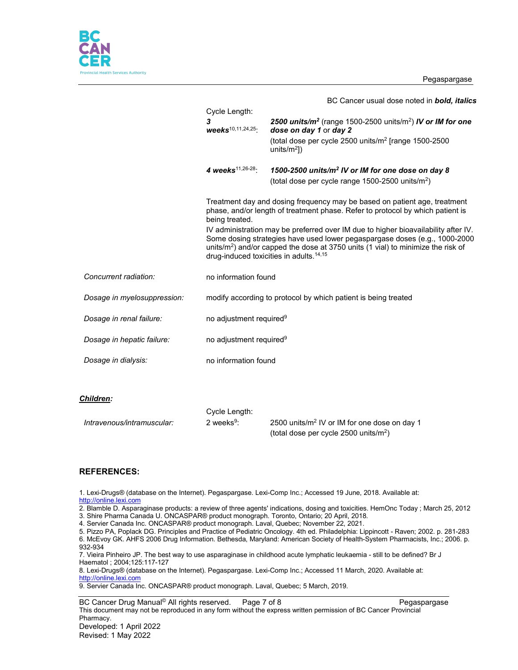Pegaspargase



|                             |                                                                | BC Cancer usual dose noted in bold, italics                                                                                                                                                                                                                                                                             |
|-----------------------------|----------------------------------------------------------------|-------------------------------------------------------------------------------------------------------------------------------------------------------------------------------------------------------------------------------------------------------------------------------------------------------------------------|
|                             | Cycle Length:                                                  |                                                                                                                                                                                                                                                                                                                         |
|                             | 3<br>$\textit{weeks}^{10,11,24,25}$ :                          | 2500 units/ $m^2$ (range 1500-2500 units/m <sup>2</sup> ) IV or IM for one<br>dose on day 1 or day 2                                                                                                                                                                                                                    |
|                             |                                                                | (total dose per cycle 2500 units/m <sup>2</sup> [range 1500-2500<br>units/ $m^2$ ])                                                                                                                                                                                                                                     |
|                             | 4 weeks <sup>11,26-28</sup> :                                  | 1500-2500 units/m <sup>2</sup> IV or IM for one dose on day 8<br>(total dose per cycle range $1500-2500$ units/m <sup>2</sup> )                                                                                                                                                                                         |
|                             | being treated.                                                 | Treatment day and dosing frequency may be based on patient age, treatment<br>phase, and/or length of treatment phase. Refer to protocol by which patient is                                                                                                                                                             |
|                             |                                                                | IV administration may be preferred over IM due to higher bioavailability after IV.<br>Some dosing strategies have used lower pegaspargase doses (e.g., 1000-2000<br>units/m <sup>2</sup> ) and/or capped the dose at 3750 units (1 vial) to minimize the risk of<br>drug-induced toxicities in adults. <sup>14,15</sup> |
| Concurrent radiation:       | no information found                                           |                                                                                                                                                                                                                                                                                                                         |
| Dosage in myelosuppression: | modify according to protocol by which patient is being treated |                                                                                                                                                                                                                                                                                                                         |
| Dosage in renal failure:    | no adjustment required <sup>9</sup>                            |                                                                                                                                                                                                                                                                                                                         |
| Dosage in hepatic failure:  | no adjustment required <sup>9</sup>                            |                                                                                                                                                                                                                                                                                                                         |
| Dosage in dialysis:         | no information found                                           |                                                                                                                                                                                                                                                                                                                         |
|                             |                                                                |                                                                                                                                                                                                                                                                                                                         |

#### *Children:*

|                            | Cycle Length:          |                                                          |
|----------------------------|------------------------|----------------------------------------------------------|
| Intravenous/intramuscular: | 2 weeks <sup>9</sup> : | 2500 units/m <sup>2</sup> IV or IM for one dose on day 1 |
|                            |                        | (total dose per cycle 2500 units/m <sup>2</sup> )        |

### **REFERENCES:**

1. Lexi-Drugs® (database on the Internet). Pegaspargase. Lexi-Comp Inc.; Accessed 19 June, 2018. Available at: [http://online.lexi.com](http://online.lexi.com/)

2. Blamble D. Asparaginase products: a review of three agents' indications, dosing and toxicities. HemOnc Today ; March 25, 2012 3. Shire Pharma Canada U. ONCASPAR® product monograph. Toronto, Ontario; 20 April, 2018.

4. Servier Canada Inc. ONCASPAR® product monograph. Laval, Quebec; November 22, 2021.

5. Pizzo PA, Poplack DG. Principles and Practice of Pediatric Oncology. 4th ed. Philadelphia: Lippincott - Raven; 2002. p. 281-283 6. McEvoy GK. AHFS 2006 Drug Information. Bethesda, Maryland: American Society of Health-System Pharmacists, Inc.; 2006. p. 932-934

7. Vieira Pinheiro JP. The best way to use asparaginase in childhood acute lymphatic leukaemia - still to be defined? Br J Haematol ; 2004;125:117-127

8. Lexi-Drugs® (database on the Internet). Pegaspargase. Lexi-Comp Inc.; Accessed 11 March, 2020. Available at: [http://online.lexi.com](http://online.lexi.com/)

9. Servier Canada Inc. ONCASPAR® product monograph. Laval, Quebec; 5 March, 2019.

BC Cancer Drug Manual<sup>©</sup> All rights reserved. Page 7 of 8 Pegaspargase This document may not be reproduced in any form without the express written permission of BC Cancer Provincial Pharmacy. Developed: 1 April 2022 Revised: 1 May 2022